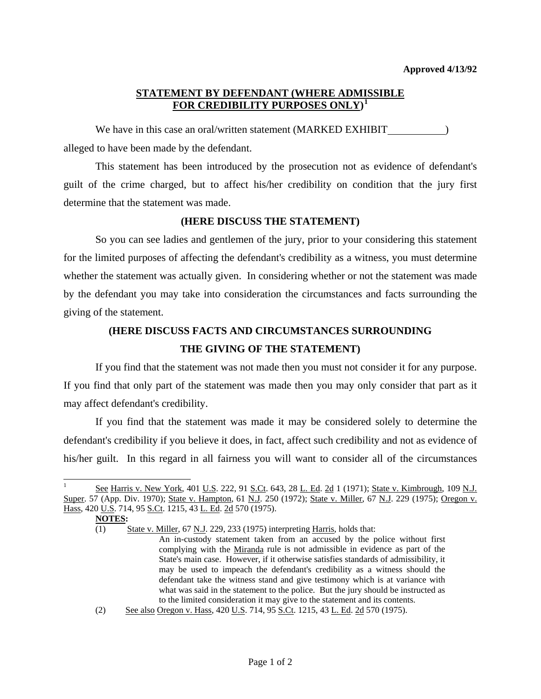## **STATEMENT BY DEFENDANT (WHERE ADMISSIBLE FOR CREDIBILITY PURPOSES ONLY) [1](#page-0-0)**

We have in this case an oral/written statement (MARKED EXHIBIT ) alleged to have been made by the defendant.

 This statement has been introduced by the prosecution not as evidence of defendant's guilt of the crime charged, but to affect his/her credibility on condition that the jury first determine that the statement was made.

## **(HERE DISCUSS THE STATEMENT)**

 So you can see ladies and gentlemen of the jury, prior to your considering this statement for the limited purposes of affecting the defendant's credibility as a witness, you must determine whether the statement was actually given. In considering whether or not the statement was made by the defendant you may take into consideration the circumstances and facts surrounding the giving of the statement.

## **(HERE DISCUSS FACTS AND CIRCUMSTANCES SURROUNDING THE GIVING OF THE STATEMENT)**

 If you find that the statement was not made then you must not consider it for any purpose. If you find that only part of the statement was made then you may only consider that part as it may affect defendant's credibility.

 If you find that the statement was made it may be considered solely to determine the defendant's credibility if you believe it does, in fact, affect such credibility and not as evidence of his/her guilt. In this regard in all fairness you will want to consider all of the circumstances

 $\overline{a}$ 

<span id="page-0-0"></span><sup>1</sup> See Harris v. New York, 401 U.S. 222, 91 S.Ct. 643, 28 L. Ed. 2d 1 (1971); State v. Kimbrough, 109 N.J. Super. 57 (App. Div. 1970); State v. Hampton, 61 N.J. 250 (1972); State v. Miller, 67 N.J. 229 (1975); Oregon v. Hass, 420 U.S. 714, 95 S.Ct. 1215, 43 L. Ed. 2d 570 (1975).

**NOTES:** 

<sup>(1)</sup> State v. Miller, 67 N.J. 229, 233 (1975) interpreting Harris, holds that:

An in-custody statement taken from an accused by the police without first complying with the Miranda rule is not admissible in evidence as part of the State's main case. However, if it otherwise satisfies standards of admissibility, it may be used to impeach the defendant's credibility as a witness should the defendant take the witness stand and give testimony which is at variance with what was said in the statement to the police. But the jury should be instructed as to the limited consideration it may give to the statement and its contents.

<span id="page-0-1"></span><sup>(2)</sup> See also Oregon v. Hass, 420 U.S. 714, 95 S.Ct. 1215, 43 L. Ed. 2d 570 (1975).